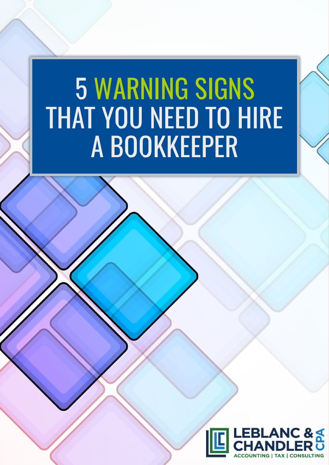# 5 WARNING SIGNSTHAT YOU NEED TO HIRE A BOOKKEEPER

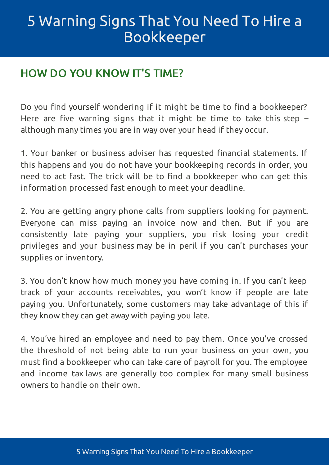## 5 Warning Signs That You Need To Hire a [Bookkeeper](#page-2-0)

#### HOW DO YOU KNOW IT'S TIME?

Do you find yourself wondering if it might be time to find a bookkeeper? Here are five warning signs that it might be time to take this step  $$ although many times you are in way over your head if they occur.

1. Your banker or business adviser has requested financial statements. If this happens and you do not have your bookkeeping records in order, you need to act fast. The trick will be to find a bookkeeper who can get this information processed fast enough to meet your deadline.

2. You are getting angry phone calls from suppliers looking for payment. Everyone can miss paying an invoice now and then. But if you are consistently late paying your suppliers, you risk losing your credit privileges and your business may be in peril if you can't purchases your supplies or inventory.

3. You don't know how much money you have coming in. If you can't keep track of your accounts receivables, you won't know if people are late paying you. Unfortunately, some customers may take advantage of this if they know they can get away with paying you late.

4. You've hired an employee and need to pay them. Once you've crossed the threshold of not being able to run your business on your own, you must find a bookkeeper who can take care of payroll for you. The employee and income tax laws are generally too complex for many small business owners to handle on their own.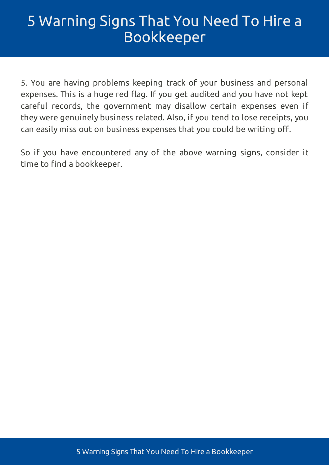## <span id="page-2-0"></span>5 Warning Signs That You Need To Hire a [Bookkeeper](#page-2-0)

5. You are having problems keeping track of your business and personal expenses. This is a huge red flag. If you get audited and you have not kept careful records, the government may disallow certain expenses even if they were genuinely business related. Also, if you tend to lose receipts, you can easily miss out on business expenses that you could be writing off.

So if you have encountered any of the above warning signs, consider it time to find a bookkeeper.